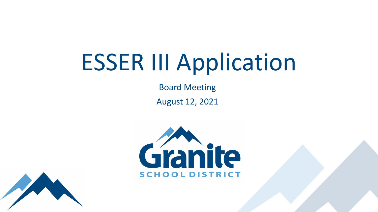# ESSER III Application

Board Meeting August 12, 2021



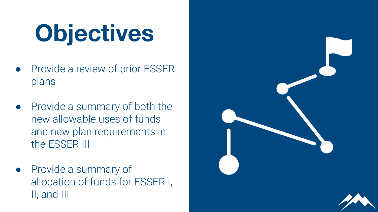# **Objectives**

- Provide a review of prior ESSER plans
- Provide a summary of both the new allowable uses of funds and new plan requirements in the ESSER III
- Provide a summary of allocation of funds for ESSER I, II, and III

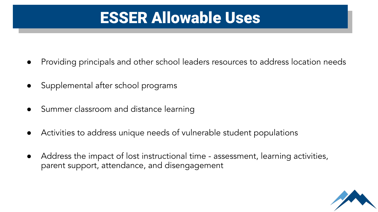## ESSER Allowable Uses

- Providing principals and other school leaders resources to address location needs
- Supplemental after school programs
- Summer classroom and distance learning
- Activities to address unique needs of vulnerable student populations
- Address the impact of lost instructional time assessment, learning activities, parent support, attendance, and disengagement

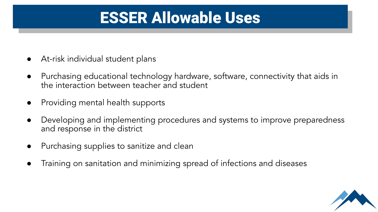### ESSER Allowable Uses

- At-risk individual student plans
- Purchasing educational technology hardware, software, connectivity that aids in the interaction between teacher and student
- Providing mental health supports
- Developing and implementing procedures and systems to improve preparedness and response in the district
- Purchasing supplies to sanitize and clean
- Training on sanitation and minimizing spread of infections and diseases

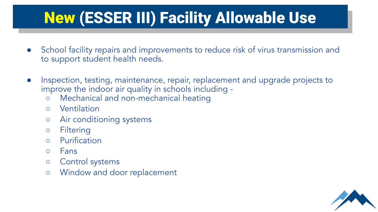# New (ESSER III) Facility Allowable Use

- School facility repairs and improvements to reduce risk of virus transmission and to support student health needs.
- Inspection, testing, maintenance, repair, replacement and upgrade projects to improve the indoor air quality in schools including -
	- Mechanical and non-mechanical heating
	- Ventilation
	- Air conditioning systems
	- Filtering
	- Purification
	- Fans
	- Control systems
	- Window and door replacement

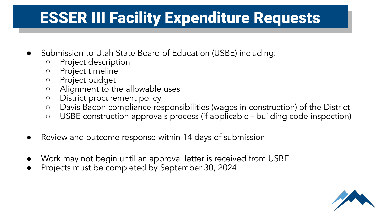## ESSER III Facility Expenditure Requests

- Submission to Utah State Board of Education (USBE) including:
	- Project description
	- Project timeline
	- Project budget
	- Alignment to the allowable uses
	- District procurement policy
	- Davis Bacon compliance responsibilities (wages in construction) of the District
	- USBE construction approvals process (if applicable building code inspection)
- Review and outcome response within 14 days of submission
- Work may not begin until an approval letter is received from USBE
- Projects must be completed by September 30, 2024

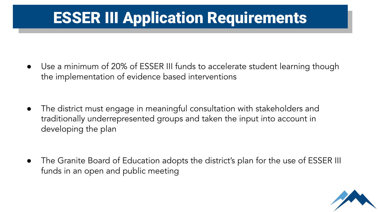## ESSER III Application Requirements

● Use a minimum of 20% of ESSER III funds to accelerate student learning though the implementation of evidence based interventions

● The district must engage in meaningful consultation with stakeholders and traditionally underrepresented groups and taken the input into account in developing the plan

● The Granite Board of Education adopts the district's plan for the use of ESSER III funds in an open and public meeting

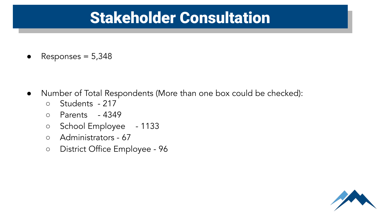#### Stakeholder Consultation

 $Responents = 5,348$ 

- Number of Total Respondents (More than one box could be checked):
	- Students 217
	- Parents 4349
	- School Employee 1133
	- Administrators 67
	- District Office Employee 96

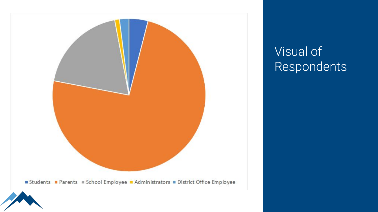

#### **Visual of** Respondents

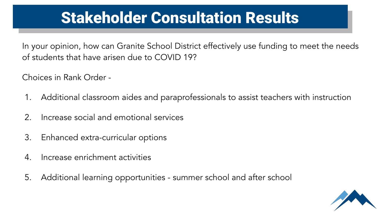## Stakeholder Consultation Results

In your opinion, how can Granite School District effectively use funding to meet the needs of students that have arisen due to COVID 19?

Choices in Rank Order -

- 1. Additional classroom aides and paraprofessionals to assist teachers with instruction
- 2. Increase social and emotional services
- 3. Enhanced extra-curricular options
- 4. Increase enrichment activities
- 5. Additional learning opportunities summer school and after school

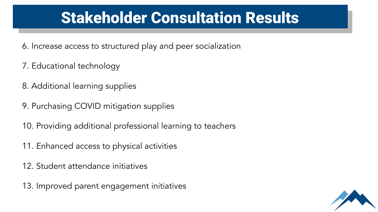### Stakeholder Consultation Results

- 6. Increase access to structured play and peer socialization
- 7. Educational technology
- 8. Additional learning supplies
- 9. Purchasing COVID mitigation supplies
- 10. Providing additional professional learning to teachers
- 11. Enhanced access to physical activities
- 12. Student attendance initiatives
- 13. Improved parent engagement initiatives

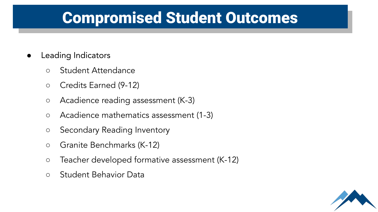## Compromised Student Outcomes

- **●** Leading Indicators
	- Student Attendance
	- Credits Earned (9-12)
	- Acadience reading assessment (K-3)
	- Acadience mathematics assessment (1-3)
	- Secondary Reading Inventory
	- Granite Benchmarks (K-12)
	- Teacher developed formative assessment (K-12)
	- Student Behavior Data

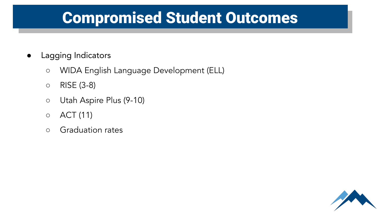## Compromised Student Outcomes

- **●** Lagging Indicators
	- WIDA English Language Development (ELL)
	- RISE (3-8)
	- Utah Aspire Plus (9-10)
	- ACT (11)
	- Graduation rates

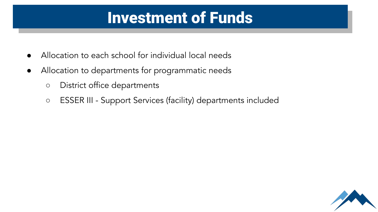#### Investment of Funds

- Allocation to each school for individual local needs
- Allocation to departments for programmatic needs
	- District office departments
	- ESSER III Support Services (facility) departments included

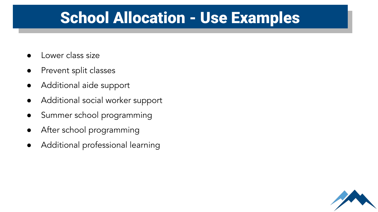#### School Allocation - Use Examples

- Lower class size
- Prevent split classes
- Additional aide support
- Additional social worker support
- Summer school programming
- After school programming
- Additional professional learning

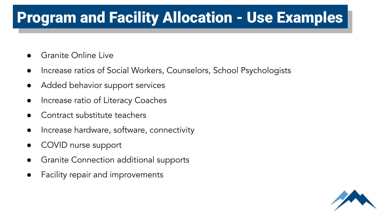#### Program and Facility Allocation - Use Examples

- Granite Online Live
- Increase ratios of Social Workers, Counselors, School Psychologists
- Added behavior support services
- Increase ratio of Literacy Coaches
- Contract substitute teachers
- Increase hardware, software, connectivity
- COVID nurse support
- Granite Connection additional supports
- Facility repair and improvements

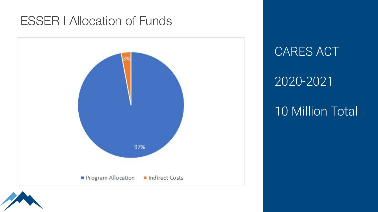#### ESSER I Allocation of Funds



CARES ACT

#### 2020-2021

#### 10 Million Total

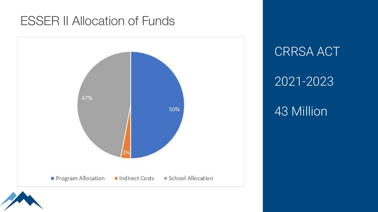#### ESSER II Allocation of Funds



CRRSA ACT

#### 2021-2023

#### 43 Million

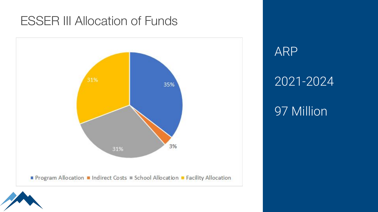#### ESSER III Allocation of Funds



ARP 2021-2024 97 Million

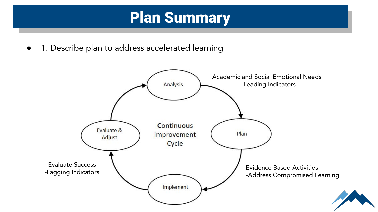#### Plan Summary

1. Describe plan to address accelerated learning